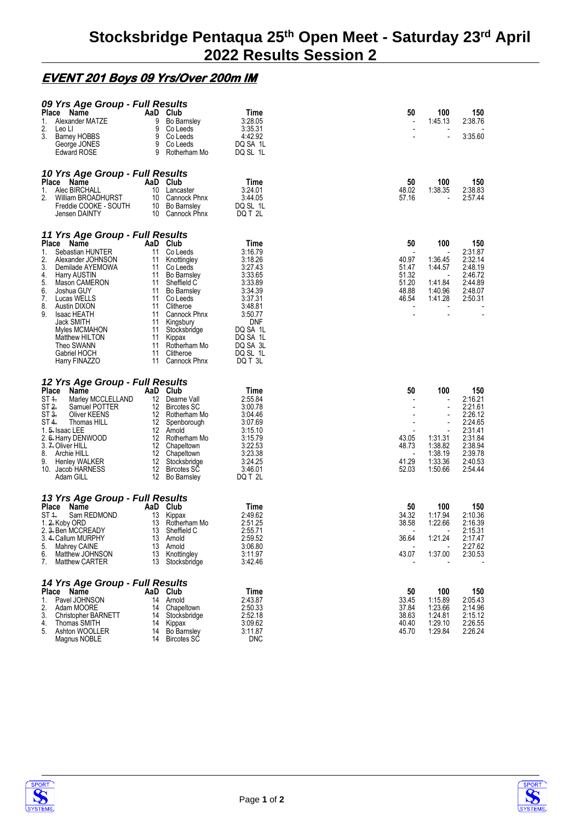## **EVENT 201 Boys 09 Yrs/Over 200m IM**

| 09 Yrs Age Group - Full Results<br>Place Name<br>Alexander MATZE<br>1.<br>2.<br>Leo Ll<br>3.<br><b>Barney HOBBS</b><br>George JONES<br><b>Edward ROSE</b>                                                                                                                                                                                                                   | AaD Club<br>9<br>Bo Barnsley<br>9<br>Co Leeds<br>9<br>Co Leeds<br>9<br>Co Leeds<br>9<br>Rotherham Mo                                                                                                                                                                                           | Time<br>3:28.05<br>3:35.31<br>4:42.92<br>DQ SA 1L<br>DQ SL 1L                                                                                                             | 50                                                                 | 100<br>1:45.13                                                                                           | 150<br>2:38.76<br>3:35.60                                                                                         |
|-----------------------------------------------------------------------------------------------------------------------------------------------------------------------------------------------------------------------------------------------------------------------------------------------------------------------------------------------------------------------------|------------------------------------------------------------------------------------------------------------------------------------------------------------------------------------------------------------------------------------------------------------------------------------------------|---------------------------------------------------------------------------------------------------------------------------------------------------------------------------|--------------------------------------------------------------------|----------------------------------------------------------------------------------------------------------|-------------------------------------------------------------------------------------------------------------------|
| 10 Yrs Age Group - Full Results<br>Place<br>Name<br>Alec BIRCHALL<br>1.<br>2.<br>William BROADHURST<br>Freddie COOKE - SOUTH<br>Jensen DAINTY                                                                                                                                                                                                                               | AaD Club<br>10 Lancaster<br>10 Cannock Phnx<br>10 Bo Barnsley<br>10 Cannock Phnx                                                                                                                                                                                                               | Time<br>3:24.01<br>3:44.05<br>DQ SL 1L<br>DQ T 2L                                                                                                                         | 50<br>48.02<br>57.16                                               | 100<br>1:38.35                                                                                           | 150<br>2:38.83<br>2:57.44                                                                                         |
| 11 Yrs Age Group - Full Results<br>Place Name<br>Sebastian HUNTER<br>1.<br>2.<br>Alexander JOHNSON<br>3.<br>Demilade AYEMOWA<br>4.<br><b>Harry AUSTIN</b><br>5.<br>Mason CAMERON<br>6.<br>Joshua GUY<br>7.<br>Lucas WELLS<br>8.<br>Austin DIXON<br>9.<br><b>Isaac HEATH</b><br>Jack SMITH<br>Myles MCMAHON<br>Matthew HILTON<br>Theo SWANN<br>Gabriel HOCH<br>Harry FINAZZO | AaD Club<br>11 Co Leeds<br>11 Knottingley<br>11<br>Co Leeds<br>11 Bo Barnsley<br>11<br>Sheffield C<br>11<br>Bo Barnsley<br>11 Co Leeds<br>11 Clitheroe<br>11<br>Cannock Phnx<br>11 Kingsbury<br>11<br>Stocksbridge<br>11<br>Kippax<br>11<br>Rotherham Mo<br>11<br>Clitheroe<br>11 Cannock Phnx | Time<br>3:16.79<br>3:18.26<br>3:27.43<br>3:33.65<br>3:33.89<br>3:34.39<br>3:37.31<br>3:48.81<br>3:50.77<br>DNF<br>DQ SA 1L<br>DQ SA 1L<br>DQ SA 3L<br>DQ SL 1L<br>DQ T 3L | 50<br>40.97<br>51.47<br>51.32<br>51.20<br>48.88<br>46.54           | 100<br>1:36.45<br>1:44.57<br>1:41.84<br>1:40.96<br>1:41.28                                               | 150<br>2:31.87<br>2:32.14<br>2:48.19<br>2:46.72<br>2:44.89<br>2:48.07<br>2:50.31                                  |
| 12 Yrs Age Group - Full Results<br>Place<br>Name<br>$ST +$<br>Marley MCCLELLAND<br>ST 2.<br>Samuel POTTER<br>ST 3.<br>Oliver KEENS<br>ST 4.<br>Thomas HILL<br>1. 5. Isaac LEE<br>2. 6. Harry DENWOOD<br>3. 7. Oliver HILL<br>8.<br>Archie HILL<br>9.<br>Henley WALKER<br>10. Jacob HARNESS<br>Adam GILL                                                                     | AaD Club<br>12 Dearne Vall<br>12 Bircotes SC<br>12 Rotherham Mo<br>12 Spenborough<br>12 Arnold<br>12 Rotherham Mo<br>12 Chapeltown<br>12 Chapeltown<br>12 Stocksbridge<br>12 Bircotes SC<br>12 Bo Barnsley                                                                                     | Time<br>2:55.84<br>3:00.78<br>3:04.46<br>3:07.69<br>3:15.10<br>3:15.79<br>3:22.53<br>3:23.38<br>3:24.25<br>3:46.01<br>DQ T 2L                                             | 50<br>43.05<br>48.73<br>$\overline{\phantom{a}}$<br>41.29<br>52.03 | 100<br>$\overline{\phantom{a}}$<br>$\blacksquare$<br>1:31.31<br>1:38.82<br>1:38.19<br>1:33.36<br>1:50.66 | 150<br>2:16.21<br>2:21.61<br>2:26.12<br>2:24.65<br>2:31.41<br>2:31.84<br>2:38.94<br>2:39.78<br>2:40.53<br>2:54.44 |
| 13 Yrs Age Group - Full Results<br>Place<br>Name<br>ST 1.<br>Sam REDMOND<br>1. 2. Koby ORD<br>2. 3. Ben MCCREADY<br>3. 4. Callum MURPHY<br>5.<br>Mahrey CAINE<br>6.<br>Matthew JOHNSON<br>7.<br><b>Matthew CARTER</b>                                                                                                                                                       | AaD Club<br>13<br>Kippax<br>13<br>Rotherham Mo<br>13<br>Sheffield C<br>13 Arnold<br>13 Arnold<br>13 Knottingley<br>13<br>Stocksbridge                                                                                                                                                          | Time<br>2:49.62<br>2:51.25<br>2:55.71<br>2:59.52<br>3:06.80<br>3:11.97<br>3:42.46                                                                                         | 50<br>34.32<br>38.58<br>36.64<br>43.07                             | 100<br>1:17.94<br>1:22.66<br>1:21.24<br>1:37.00                                                          | 150<br>2:10.36<br>2:16.39<br>2:15.31<br>2:17.47<br>2:27.62<br>2:30.53                                             |
| 14 Yrs Age Group - Full Results<br>Place<br>Name<br>Pavel JOHNSON<br>1.<br>2.<br>Adam MOORE<br>3.<br><b>Christopher BARNETT</b><br>4.<br>Thomas SMITH<br>5.<br>Ashton WOOLLER<br>Magnus NOBLE                                                                                                                                                                               | AaD Club<br>14 Arnold<br>14 Chapeltown<br>14<br>Stocksbridge<br>14 Kippax<br><b>Bo Barnsley</b><br>14<br>14 Bircotes SC                                                                                                                                                                        | Time<br>2:43.87<br>2:50.33<br>2:52.18<br>3:09.62<br>3:11.87<br>DNC                                                                                                        | 50<br>33.45<br>37.84<br>38.63<br>40.40<br>45.70                    | 100<br>1:15.89<br>1:23.66<br>1:24.81<br>1:29.10<br>1:29.84                                               | 150<br>2:05.43<br>2:14.96<br>2:15.12<br>2:26.55<br>2:26.24                                                        |